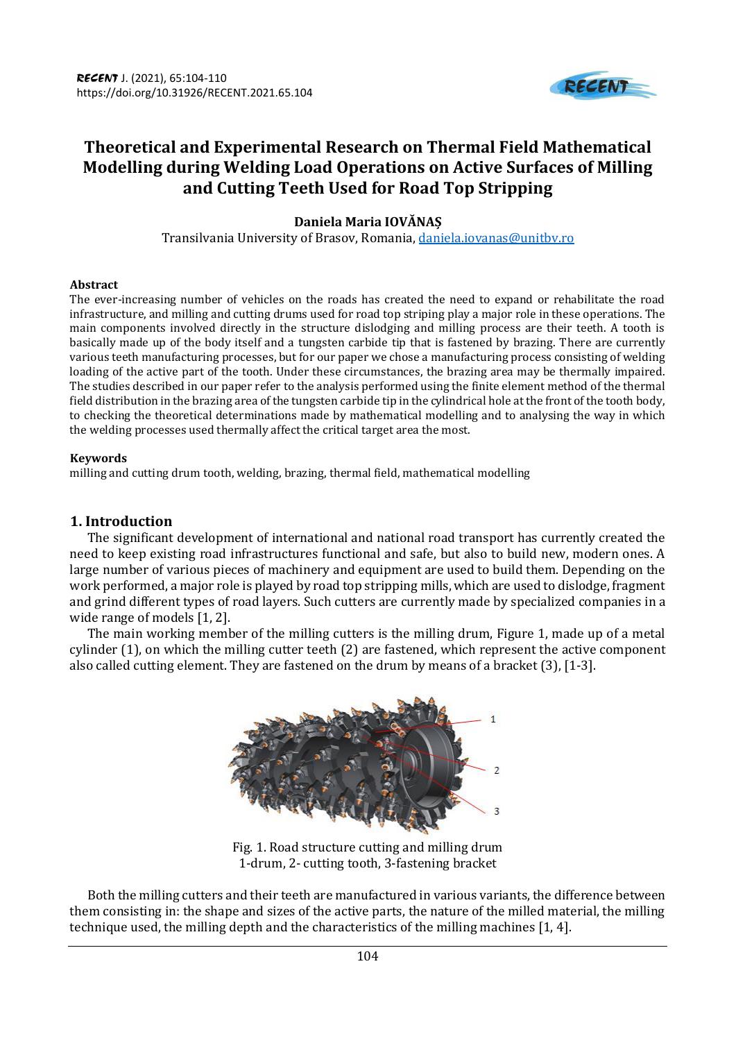

# **Theoretical and Experimental Research on Thermal Field Mathematical Modelling during Welding Load Operations on Active Surfaces of Milling and Cutting Teeth Used for Road Top Stripping**

## **Daniela Maria IOVĂNAȘ**

Transilvania University of Brasov, Romania, daniela.iovanas@unitbv.ro

#### **Abstract**

The ever-increasing number of vehicles on the roads has created the need to expand or rehabilitate the road infrastructure, and milling and cutting drums used for road top striping play a major role in these operations. The main components involved directly in the structure dislodging and milling process are their teeth. A tooth is basically made up of the body itself and a tungsten carbide tip that is fastened by brazing. There are currently various teeth manufacturing processes, but for our paper we chose a manufacturing process consisting of welding loading of the active part of the tooth. Under these circumstances, the brazing area may be thermally impaired. The studies described in our paper refer to the analysis performed using the finite element method of the thermal field distribution in the brazing area of the tungsten carbide tip in the cylindrical hole at the front of the tooth body, to checking the theoretical determinations made by mathematical modelling and to analysing the way in which the welding processes used thermally affect the critical target area the most.

#### **Keywords**

milling and cutting drum tooth, welding, brazing, thermal field, mathematical modelling

## **1. Introduction**

The significant development of international and national road transport has currently created the need to keep existing road infrastructures functional and safe, but also to build new, modern ones. A large number of various pieces of machinery and equipment are used to build them. Depending on the work performed, a major role is played by road top stripping mills, which are used to dislodge, fragment and grind different types of road layers. Such cutters are currently made by specialized companies in a wide range of models [1, 2].

The main working member of the milling cutters is the milling drum, Figure 1, made up of a metal cylinder (1), on which the milling cutter teeth (2) are fastened, which represent the active component also called cutting element. They are fastened on the drum by means of a bracket (3), [1-3].



Fig. 1. Road structure cutting and milling drum 1-drum, 2- cutting tooth, 3-fastening bracket

Both the milling cutters and their teeth are manufactured in various variants, the difference between them consisting in: the shape and sizes of the active parts, the nature of the milled material, the milling technique used, the milling depth and the characteristics of the milling machines [1, 4].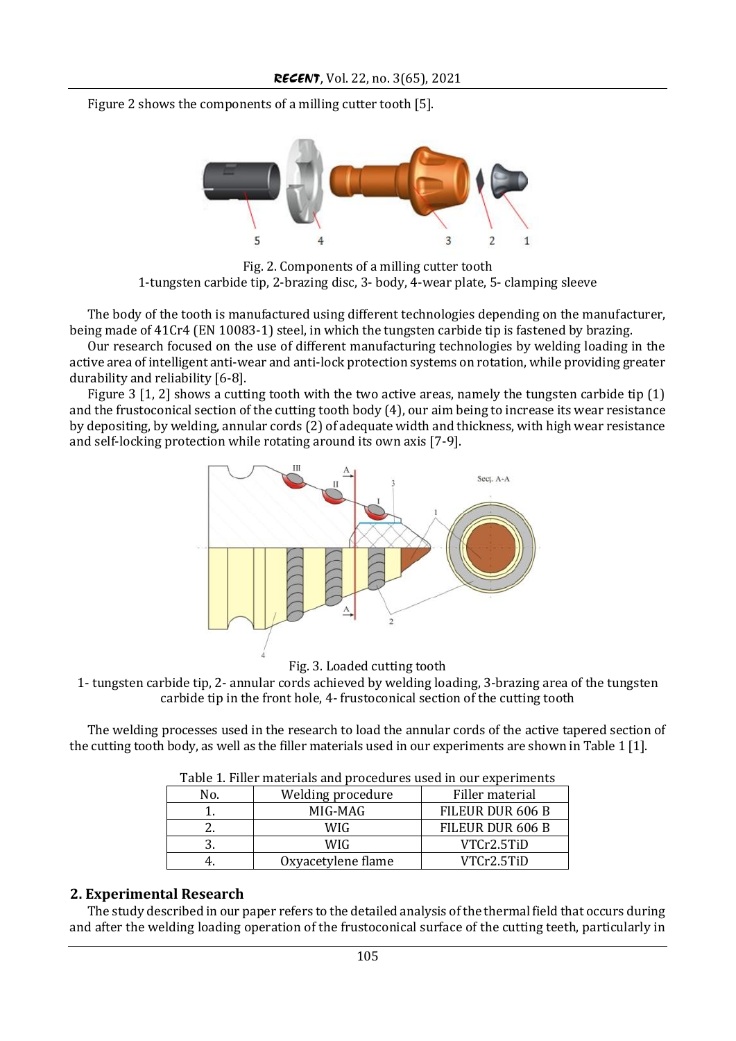Figure 2 shows the components of a milling cutter tooth [5].



Fig. 2. Components of a milling cutter tooth 1-tungsten carbide tip, 2-brazing disc, 3- body, 4-wear plate, 5- clamping sleeve

The body of the tooth is manufactured using different technologies depending on the manufacturer, being made of 41Cr4 (EN 10083-1) steel, in which the tungsten carbide tip is fastened by brazing.

Our research focused on the use of different manufacturing technologies by welding loading in the active area of intelligent anti-wear and anti-lock protection systems on rotation, while providing greater durability and reliability [6-8].

Figure 3 [1, 2] shows a cutting tooth with the two active areas, namely the tungsten carbide tip (1) and the frustoconical section of the cutting tooth body (4), our aim being to increase its wear resistance by depositing, by welding, annular cords (2) of adequate width and thickness, with high wear resistance and self-locking protection while rotating around its own axis [7-9].



Fig. 3. Loaded cutting tooth

1- tungsten carbide tip, 2- annular cords achieved by welding loading, 3-brazing area of the tungsten carbide tip in the front hole, 4- frustoconical section of the cutting tooth

The welding processes used in the research to load the annular cords of the active tapered section of the cutting tooth body, as well as the filler materials used in our experiments are shown in Table 1 [1].

| Table 1. Filler materials and procedures used in our experiments |                    |                  |
|------------------------------------------------------------------|--------------------|------------------|
| No.                                                              | Welding procedure  | Filler material  |
|                                                                  | MIG-MAG            | FILEUR DUR 606 B |
|                                                                  | <b>WIG</b>         | FILEUR DUR 606 B |
|                                                                  | <b>WIG</b>         | VTCr2.5TiD       |
|                                                                  | Oxyacetylene flame | VTCr2.5TiD       |

Table 1. Filler materials and procedures used in our experiments

### **2. Experimental Research**

The study described in our paper refers to the detailed analysis of the thermal field that occurs during and after the welding loading operation of the frustoconical surface of the cutting teeth, particularly in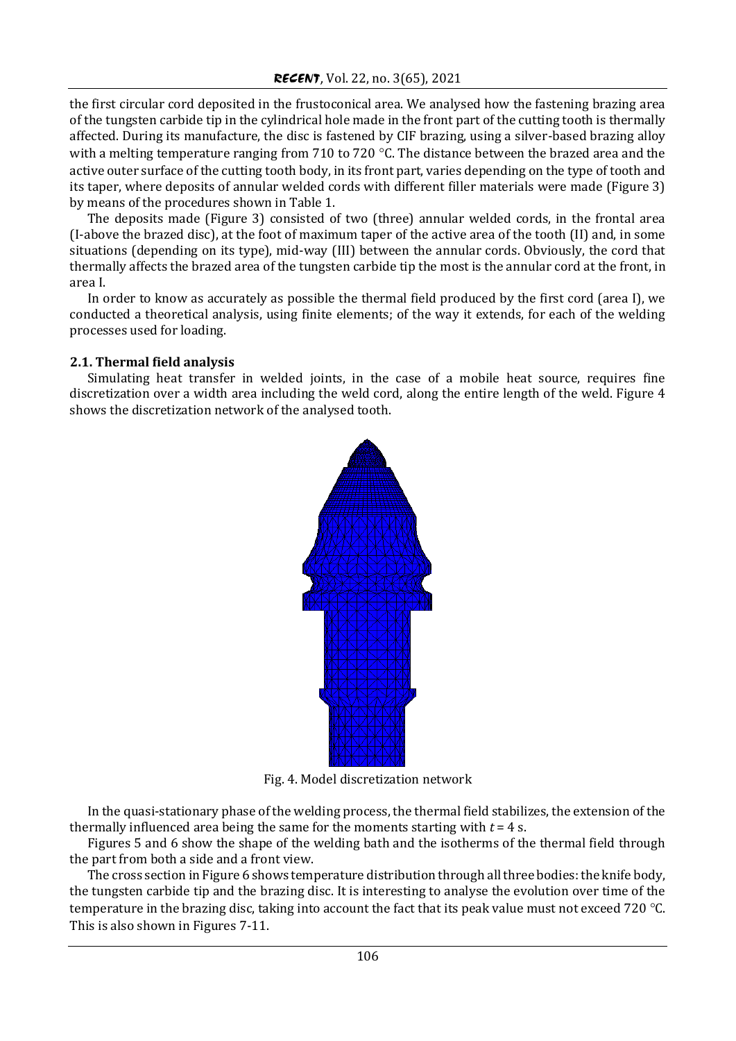the first circular cord deposited in the frustoconical area. We analysed how the fastening brazing area of the tungsten carbide tip in the cylindrical hole made in the front part of the cutting tooth is thermally affected. During its manufacture, the disc is fastened by CIF brazing, using a silver-based brazing alloy with a melting temperature ranging from 710 to 720 °C. The distance between the brazed area and the active outer surface of the cutting tooth body, in its front part, varies depending on the type of tooth and its taper, where deposits of annular welded cords with different filler materials were made (Figure 3) by means of the procedures shown in Table 1.

The deposits made (Figure 3) consisted of two (three) annular welded cords, in the frontal area (I-above the brazed disc), at the foot of maximum taper of the active area of the tooth (II) and, in some situations (depending on its type), mid-way (III) between the annular cords. Obviously, the cord that thermally affects the brazed area of the tungsten carbide tip the most is the annular cord at the front, in area I.

In order to know as accurately as possible the thermal field produced by the first cord (area I), we conducted a theoretical analysis, using finite elements; of the way it extends, for each of the welding processes used for loading.

## **2.1. Thermal field analysis**

Simulating heat transfer in welded joints, in the case of a mobile heat source, requires fine discretization over a width area including the weld cord, along the entire length of the weld. Figure 4 shows the discretization network of the analysed tooth.



Fig. 4. Model discretization network

In the quasi-stationary phase of the welding process, the thermal field stabilizes, the extension of the thermally influenced area being the same for the moments starting with *t* = 4 s.

Figures 5 and 6 show the shape of the welding bath and the isotherms of the thermal field through the part from both a side and a front view.

The cross section in Figure 6 shows temperature distribution through all three bodies: the knife body, the tungsten carbide tip and the brazing disc. It is interesting to analyse the evolution over time of the temperature in the brazing disc, taking into account the fact that its peak value must not exceed 720 °C. This is also shown in Figures 7-11.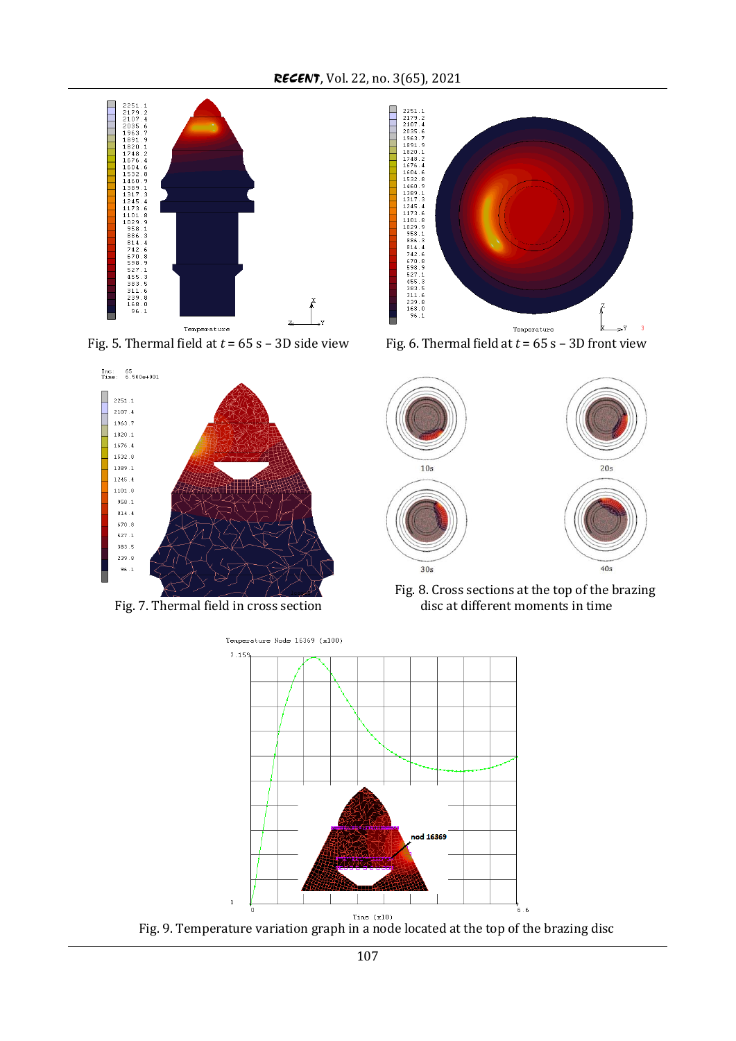

Fig. 5. Thermal field at  $t = 65$  s - 3D side view Fig. 6. Thermal field at  $t = 65$  s - 3D front view



Fig. 7. Thermal field in cross section









Fig. 9. Temperature variation graph in a node located at the top of the brazing disc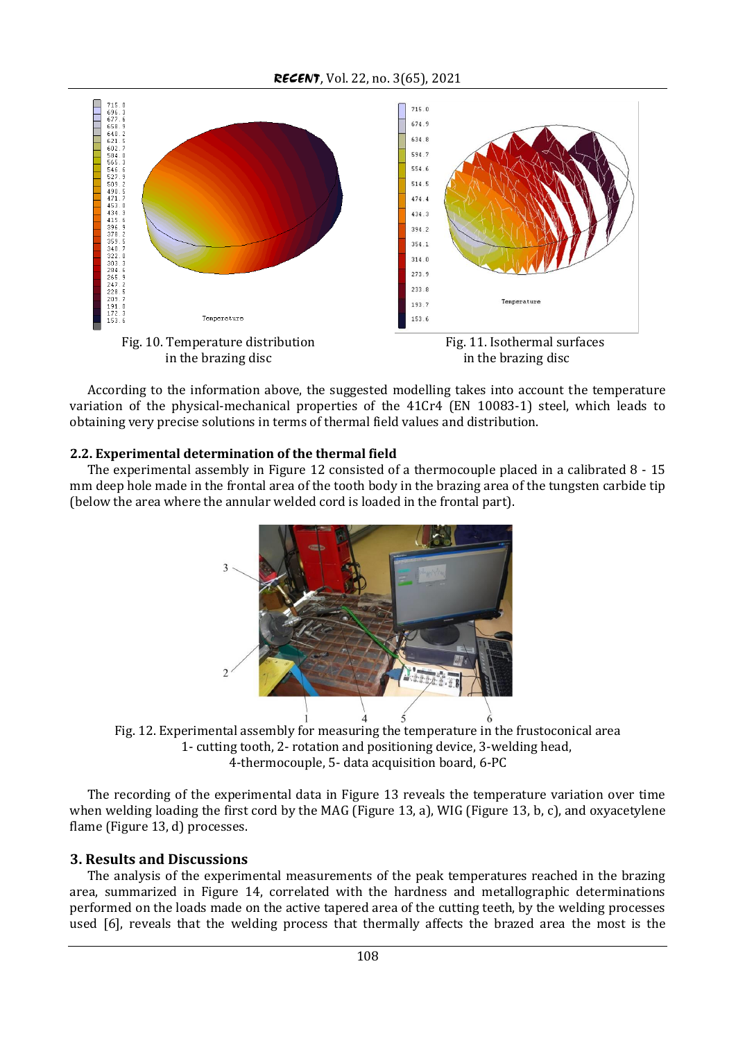*RECENT*, Vol. 22, no. 3(65), 2021



According to the information above, the suggested modelling takes into account the temperature variation of the physical-mechanical properties of the 41Cr4 (EN 10083-1) steel, which leads to obtaining very precise solutions in terms of thermal field values and distribution.

## **2.2. Experimental determination of the thermal field**

The experimental assembly in Figure 12 consisted of a thermocouple placed in a calibrated 8 - 15 mm deep hole made in the frontal area of the tooth body in the brazing area of the tungsten carbide tip (below the area where the annular welded cord is loaded in the frontal part).



Fig. 12. Experimental assembly for measuring the temperature in the frustoconical area 1- cutting tooth, 2- rotation and positioning device, 3-welding head, 4-thermocouple, 5- data acquisition board, 6-PC

The recording of the experimental data in Figure 13 reveals the temperature variation over time when welding loading the first cord by the MAG (Figure 13, a), WIG (Figure 13, b, c), and oxyacetylene flame (Figure 13, d) processes.

# **3. Results and Discussions**

The analysis of the experimental measurements of the peak temperatures reached in the brazing area, summarized in Figure 14, correlated with the hardness and metallographic determinations performed on the loads made on the active tapered area of the cutting teeth, by the welding processes used [6], reveals that the welding process that thermally affects the brazed area the most is the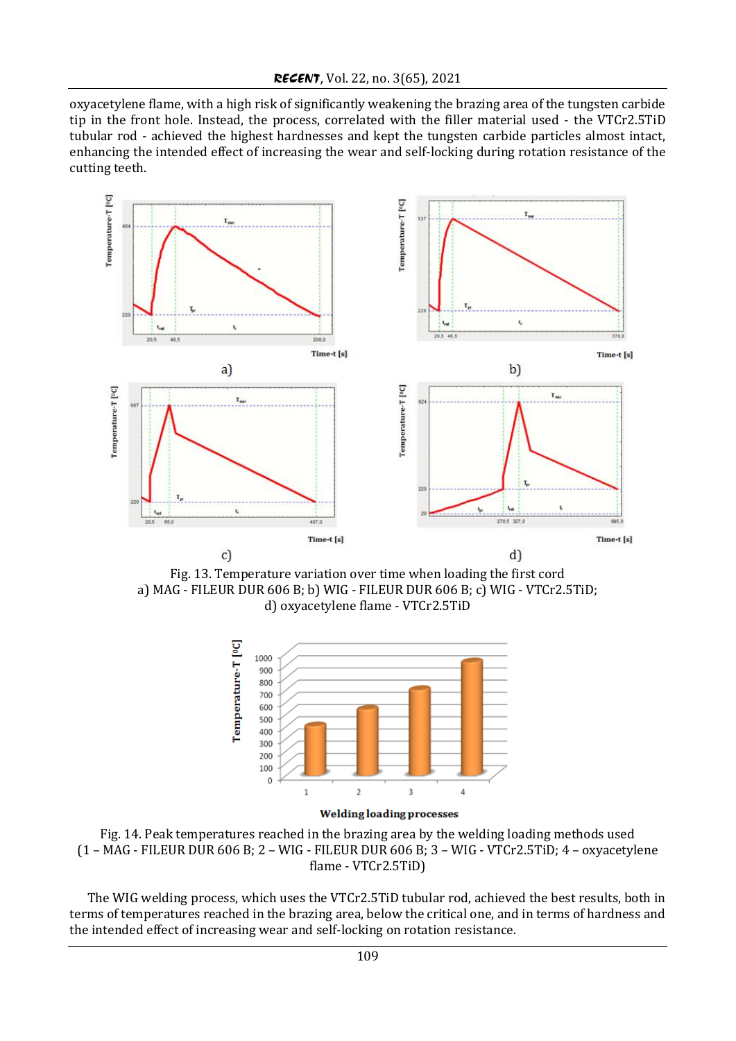oxyacetylene flame, with a high risk of significantly weakening the brazing area of the tungsten carbide tip in the front hole. Instead, the process, correlated with the filler material used - the VTCr2.5TiD tubular rod - achieved the highest hardnesses and kept the tungsten carbide particles almost intact, enhancing the intended effect of increasing the wear and self-locking during rotation resistance of the cutting teeth.



Fig. 13. Temperature variation over time when loading the first cord a) MAG - FILEUR DUR 606 B; b) WIG - FILEUR DUR 606 B; c) WIG - VTCr2.5TiD; d) oxyacetylene flame - VTCr2.5TiD



Fig. 14. Peak temperatures reached in the brazing area by the welding loading methods used (1 – MAG - FILEUR DUR 606 B; 2 – WIG - FILEUR DUR 606 B; 3 – WIG - VTCr2.5TiD; 4 – oxyacetylene flame - VTCr2.5TiD)

The WIG welding process, which uses the VTCr2.5TiD tubular rod, achieved the best results, both in terms of temperatures reached in the brazing area, below the critical one, and in terms of hardness and the intended effect of increasing wear and self-locking on rotation resistance.